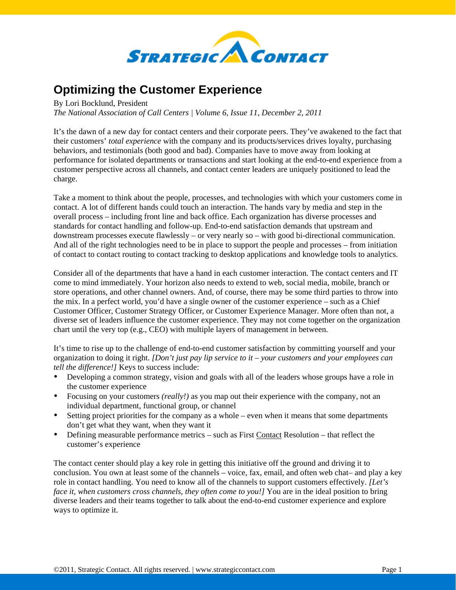

## **Optimizing the Customer Experience**

By Lori Bocklund, President

*The National Association of Call Centers | Volume 6, Issue 11, December 2, 2011* 

It's the dawn of a new day for contact centers and their corporate peers. They've awakened to the fact that their customers' *total experience* with the company and its products/services drives loyalty, purchasing behaviors, and testimonials (both good and bad). Companies have to move away from looking at performance for isolated departments or transactions and start looking at the end-to-end experience from a customer perspective across all channels, and contact center leaders are uniquely positioned to lead the charge.

Take a moment to think about the people, processes, and technologies with which your customers come in contact. A lot of different hands could touch an interaction. The hands vary by media and step in the overall process – including front line and back office. Each organization has diverse processes and standards for contact handling and follow-up. End-to-end satisfaction demands that upstream and downstream processes execute flawlessly – or very nearly so – with good bi-directional communication. And all of the right technologies need to be in place to support the people and processes – from initiation of contact to contact routing to contact tracking to desktop applications and knowledge tools to analytics.

Consider all of the departments that have a hand in each customer interaction. The contact centers and IT come to mind immediately. Your horizon also needs to extend to web, social media, mobile, branch or store operations, and other channel owners. And, of course, there may be some third parties to throw into the mix. In a perfect world, you'd have a single owner of the customer experience – such as a Chief Customer Officer, Customer Strategy Officer, or Customer Experience Manager. More often than not, a diverse set of leaders influence the customer experience. They may not come together on the organization chart until the very top (e.g., CEO) with multiple layers of management in between.

It's time to rise up to the challenge of end-to-end customer satisfaction by committing yourself and your organization to doing it right. *[Don't just pay lip service to it – your customers and your employees can tell the difference!]* Keys to success include:

- Developing a common strategy, vision and goals with all of the leaders whose groups have a role in the customer experience
- Focusing on your customers *(really!)* as you map out their experience with the company, not an individual department, functional group, or channel
- Setting project priorities for the company as a whole even when it means that some departments don't get what they want, when they want it
- Defining measurable performance metrics such as First Contact Resolution that reflect the customer's experience

The contact center should play a key role in getting this initiative off the ground and driving it to conclusion. You own at least some of the channels – voice, fax, email, and often web chat– and play a key role in contact handling. You need to know all of the channels to support customers effectively. *[Let's face it, when customers cross channels, they often come to you!]* You are in the ideal position to bring diverse leaders and their teams together to talk about the end-to-end customer experience and explore ways to optimize it.